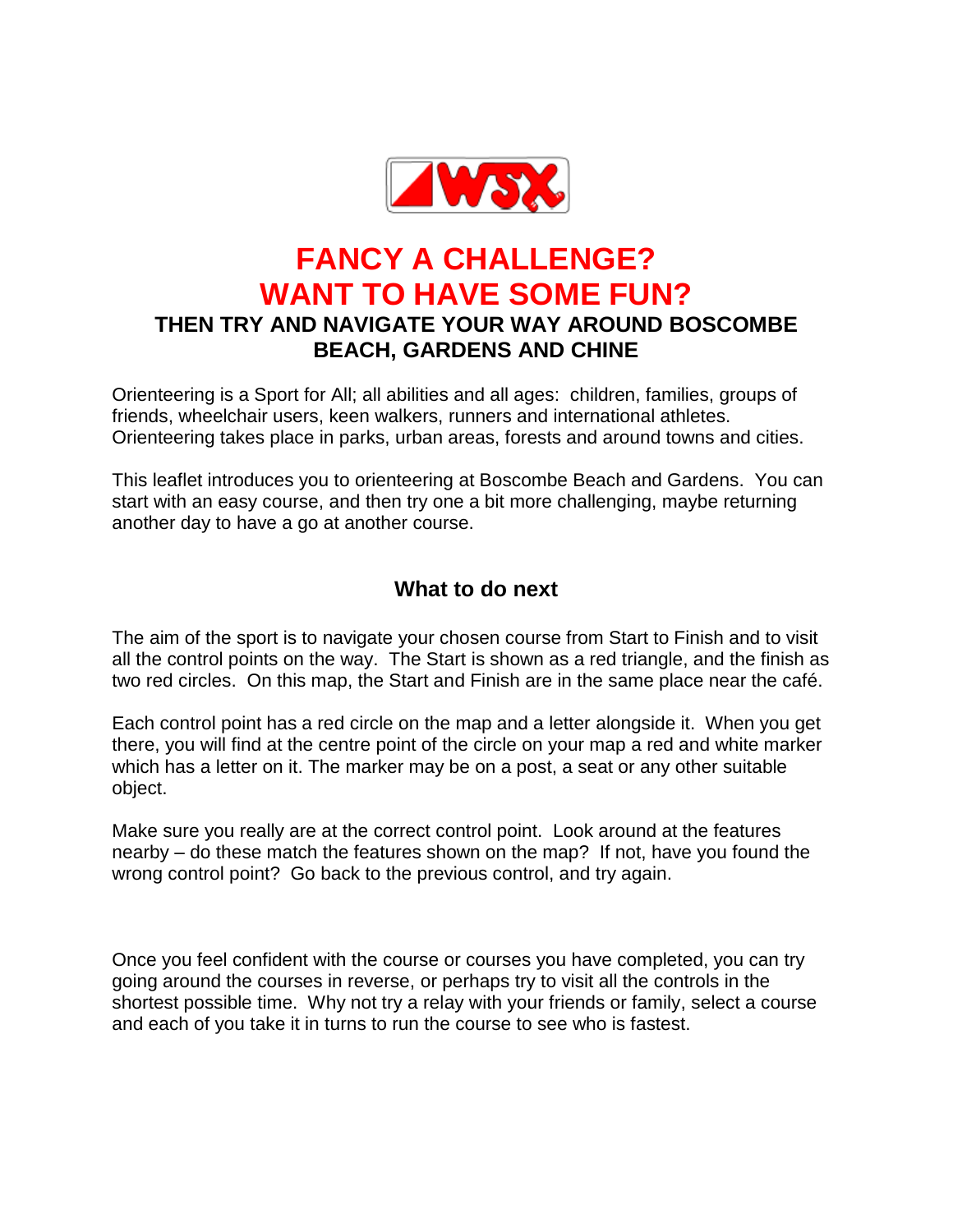

# **FANCY A CHALLENGE? WANT TO HAVE SOME FUN? THEN TRY AND NAVIGATE YOUR WAY AROUND BOSCOMBE BEACH, GARDENS AND CHINE**

Orienteering is a Sport for All; all abilities and all ages: children, families, groups of friends, wheelchair users, keen walkers, runners and international athletes. Orienteering takes place in parks, urban areas, forests and around towns and cities.

This leaflet introduces you to orienteering at Boscombe Beach and Gardens. You can start with an easy course, and then try one a bit more challenging, maybe returning another day to have a go at another course.

## **What to do next**

The aim of the sport is to navigate your chosen course from Start to Finish and to visit all the control points on the way. The Start is shown as a red triangle, and the finish as two red circles. On this map, the Start and Finish are in the same place near the café.

Each control point has a red circle on the map and a letter alongside it. When you get there, you will find at the centre point of the circle on your map a red and white marker which has a letter on it. The marker may be on a post, a seat or any other suitable object.

Make sure you really are at the correct control point. Look around at the features nearby – do these match the features shown on the map? If not, have you found the wrong control point? Go back to the previous control, and try again.

Once you feel confident with the course or courses you have completed, you can try going around the courses in reverse, or perhaps try to visit all the controls in the shortest possible time. Why not try a relay with your friends or family, select a course and each of you take it in turns to run the course to see who is fastest.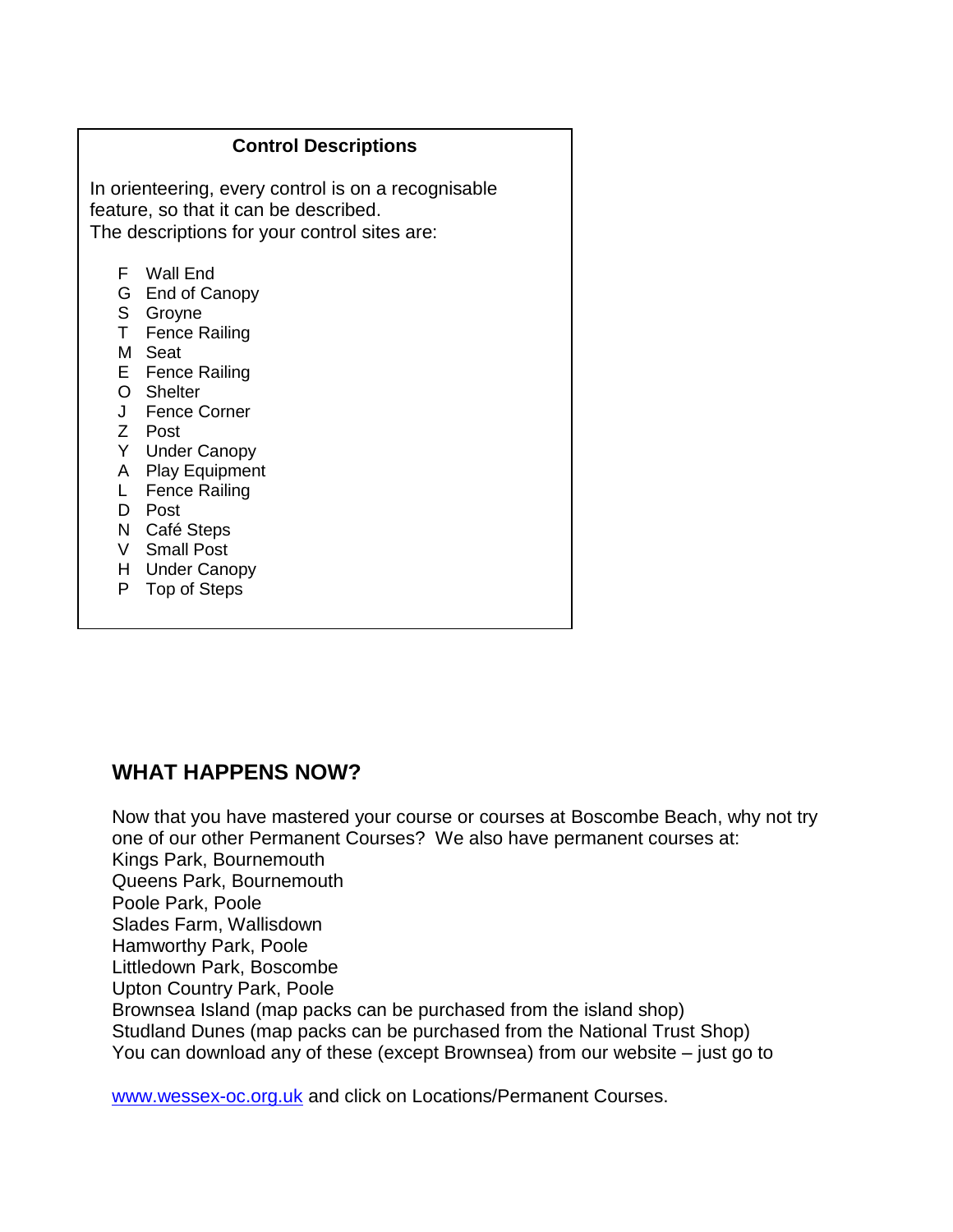#### **Control Descriptions**

In orienteering, every control is on a recognisable feature, so that it can be described. The descriptions for your control sites are:

- F Wall End
- G End of Canopy
- S Groyne
- T Fence Railing
- M Seat
- E Fence Railing
- O Shelter
- J Fence Corner
- Z Post
- Y Under Canopy
- A Play Equipment
- L Fence Railing
- D Post
- N Café Steps
- V Small Post
- H Under Canopy
- P Top of Steps

### **WHAT HAPPENS NOW?**

Now that you have mastered your course or courses at Boscombe Beach, why not try one of our other Permanent Courses? We also have permanent courses at: Kings Park, Bournemouth Queens Park, Bournemouth Poole Park, Poole Slades Farm, Wallisdown Hamworthy Park, Poole Littledown Park, Boscombe Upton Country Park, Poole Brownsea Island (map packs can be purchased from the island shop) Studland Dunes (map packs can be purchased from the National Trust Shop) You can download any of these (except Brownsea) from our website – just go to

[www.wessex-oc.org.uk](http://www.wessex-oc.org.uk/) and click on Locations/Permanent Courses.